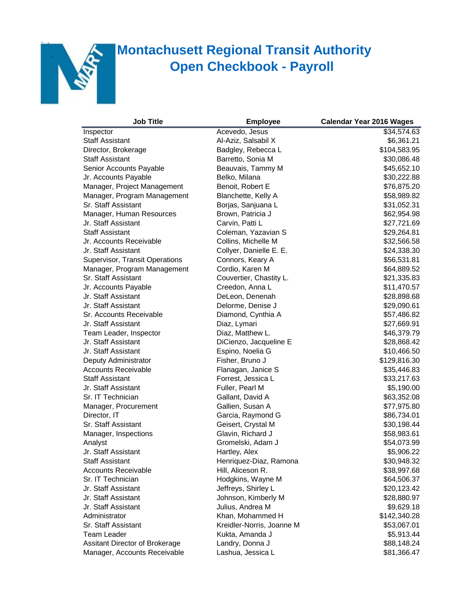

## **K** Montachusett Regional Transit Authority **Open Checkbook - Payroll**

| <b>Job Title</b>               | <b>Employee</b>           | <b>Calendar Year 2016 Wages</b> |
|--------------------------------|---------------------------|---------------------------------|
| Inspector                      | Acevedo, Jesus            | \$34,574.63                     |
| <b>Staff Assistant</b>         | Al-Aziz, Salsabil X       | \$6,361.21                      |
| Director, Brokerage            | Badgley, Rebecca L        | \$104,583.95                    |
| <b>Staff Assistant</b>         | Barretto, Sonia M         | \$30,086.48                     |
| Senior Accounts Payable        | Beauvais, Tammy M         | \$45,652.10                     |
| Jr. Accounts Payable           | Belko, Milana             | \$30,222.88                     |
| Manager, Project Management    | Benoit, Robert E          | \$76,875.20                     |
| Manager, Program Management    | Blanchette, Kelly A       | \$58,989.82                     |
| Sr. Staff Assistant            | Borjas, Sanjuana L        | \$31,052.31                     |
| Manager, Human Resources       | Brown, Patricia J         | \$62,954.98                     |
| Jr. Staff Assistant            | Carvin, Patti L           | \$27,721.69                     |
| <b>Staff Assistant</b>         | Coleman, Yazavian S       | \$29,264.81                     |
| Jr. Accounts Receivable        | Collins, Michelle M       | \$32,566.58                     |
| Jr. Staff Assistant            | Collyer, Danielle E. E.   | \$24,338.30                     |
| Supervisor, Transit Operations | Connors, Keary A          | \$56,531.81                     |
| Manager, Program Management    | Cordio, Karen M           | \$64,889.52                     |
| Sr. Staff Assistant            | Couvertier, Chastity L.   | \$21,335.83                     |
| Jr. Accounts Payable           | Creedon, Anna L           | \$11,470.57                     |
| Jr. Staff Assistant            | DeLeon, Denenah           | \$28,898.68                     |
| Jr. Staff Assistant            | Delorme, Denise J         | \$29,090.61                     |
| Sr. Accounts Receivable        | Diamond, Cynthia A        | \$57,486.82                     |
| Jr. Staff Assistant            | Diaz, Lymari              | \$27,669.91                     |
| Team Leader, Inspector         | Diaz, Matthew L.          | \$46,379.79                     |
| Jr. Staff Assistant            | DiCienzo, Jacqueline E    | \$28,868.42                     |
| Jr. Staff Assistant            | Espino, Noelia G          | \$10,466.50                     |
| Deputy Administrator           | Fisher, Bruno J           | \$129,816.30                    |
| <b>Accounts Receivable</b>     | Flanagan, Janice S        | \$35,446.83                     |
| <b>Staff Assistant</b>         | Forrest, Jessica L        | \$33,217.63                     |
| Jr. Staff Assistant            | Fuller, Pearl M           | \$5,190.00                      |
| Sr. IT Technician              | Gallant, David A          | \$63,352.08                     |
| Manager, Procurement           | Gallien, Susan A          | \$77,975.80                     |
| Director, IT                   | Garcia, Raymond G         | \$86,734.01                     |
| Sr. Staff Assistant            | Geisert, Crystal M        | \$30,198.44                     |
| Manager, Inspections           | Glavin, Richard J         | \$58,983.61                     |
| Analyst                        | Gromelski, Adam J         | \$54,073.99                     |
| Jr. Staff Assistant            | Hartley, Alex             | \$5,906.22                      |
| <b>Staff Assistant</b>         | Henriquez-Diaz, Ramona    | \$30,948.32                     |
| <b>Accounts Receivable</b>     | Hill, Aliceson R.         | \$38,997.68                     |
| Sr. IT Technician              | Hodgkins, Wayne M         | \$64,506.37                     |
| Jr. Staff Assistant            | Jeffreys, Shirley L       | \$20,123.42                     |
| Jr. Staff Assistant            | Johnson, Kimberly M       | \$28,880.97                     |
| Jr. Staff Assistant            | Julius, Andrea M          | \$9,629.18                      |
| Administrator                  | Khan, Mohammed H          | \$142,340.28                    |
| Sr. Staff Assistant            | Kreidler-Norris, Joanne M | \$53,067.01                     |
| Team Leader                    | Kukta, Amanda J           | \$5,913.44                      |
| Assitant Director of Brokerage | Landry, Donna J           | \$88,148.24                     |
| Manager, Accounts Receivable   | Lashua, Jessica L         | \$81,366.47                     |
|                                |                           |                                 |